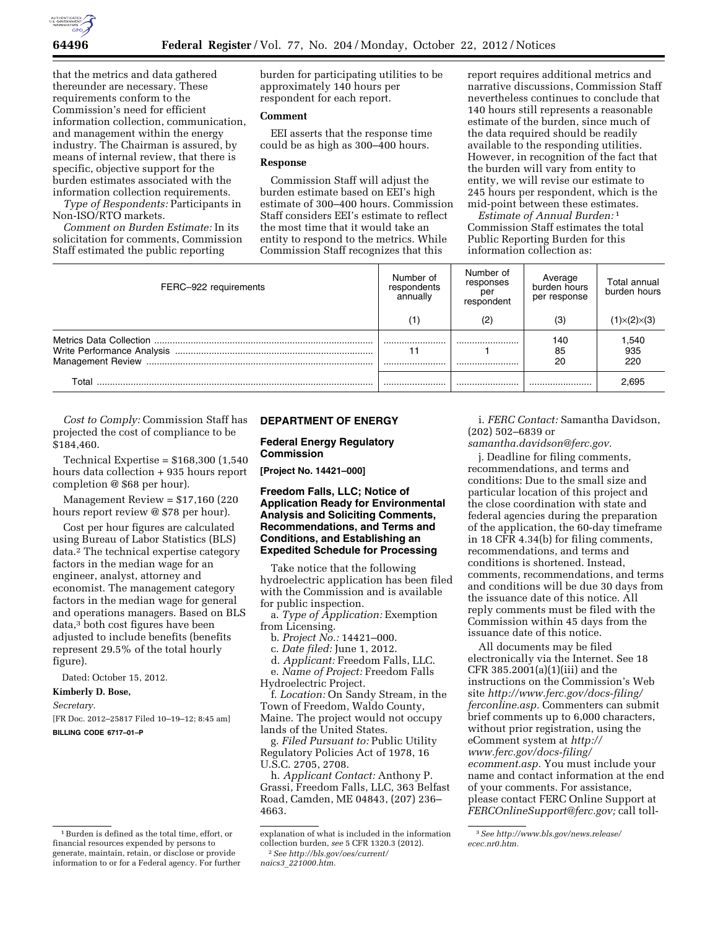

that the metrics and data gathered thereunder are necessary. These requirements conform to the Commission's need for efficient information collection, communication, and management within the energy industry. The Chairman is assured, by means of internal review, that there is specific, objective support for the burden estimates associated with the information collection requirements.

*Type of Respondents:* Participants in Non-ISO/RTO markets.

*Comment on Burden Estimate:* In its solicitation for comments, Commission Staff estimated the public reporting

burden for participating utilities to be approximately 140 hours per respondent for each report.

## **Comment**

EEI asserts that the response time could be as high as 300–400 hours.

### **Response**

Commission Staff will adjust the burden estimate based on EEI's high estimate of 300–400 hours. Commission Staff considers EEI's estimate to reflect the most time that it would take an entity to respond to the metrics. While Commission Staff recognizes that this

report requires additional metrics and narrative discussions, Commission Staff nevertheless continues to conclude that 140 hours still represents a reasonable estimate of the burden, since much of the data required should be readily available to the responding utilities. However, in recognition of the fact that the burden will vary from entity to entity, we will revise our estimate to 245 hours per respondent, which is the mid-point between these estimates.

*Estimate of Annual Burden:* 1 Commission Staff estimates the total Public Reporting Burden for this information collection as:

| FERC-922 requirements | Number of<br>respondents<br>annually | Number of<br>responses<br>per<br>respondent | Average<br>burden hours<br>per response | Total annual<br>burden hours |
|-----------------------|--------------------------------------|---------------------------------------------|-----------------------------------------|------------------------------|
|                       | (1)                                  | (2)                                         | (3)                                     | $(1) \times (2) \times (3)$  |
|                       | <br>11<br>                           | <br>                                        | 140<br>85<br>20                         | 1,540<br>935<br>220          |
| Total                 |                                      |                                             |                                         | 2.695                        |

*Cost to Comply:* Commission Staff has projected the cost of compliance to be \$184,460.

Technical Expertise = \$168,300 (1,540 hours data collection + 935 hours report completion @ \$68 per hour).

Management Review = \$17,160 (220 hours report review @ \$78 per hour).

Cost per hour figures are calculated using Bureau of Labor Statistics (BLS) data.2 The technical expertise category factors in the median wage for an engineer, analyst, attorney and economist. The management category factors in the median wage for general and operations managers. Based on BLS data,3 both cost figures have been adjusted to include benefits (benefits represent 29.5% of the total hourly figure).

Dated: October 15, 2012.

#### **Kimberly D. Bose,**

#### *Secretary.*

[FR Doc. 2012–25817 Filed 10–19–12; 8:45 am] **BILLING CODE 6717–01–P** 

# **DEPARTMENT OF ENERGY**

## **Federal Energy Regulatory Commission**

**[Project No. 14421–000]** 

### **Freedom Falls, LLC; Notice of Application Ready for Environmental Analysis and Soliciting Comments, Recommendations, and Terms and Conditions, and Establishing an Expedited Schedule for Processing**

Take notice that the following hydroelectric application has been filed with the Commission and is available for public inspection.

a. *Type of Application:* Exemption from Licensing.

- b. *Project No.:* 14421–000.
- c. *Date filed:* June 1, 2012.

d. *Applicant:* Freedom Falls, LLC.

e. *Name of Project:* Freedom Falls Hydroelectric Project.

f. *Location:* On Sandy Stream, in the Town of Freedom, Waldo County, Maine. The project would not occupy lands of the United States.

g. *Filed Pursuant to:* Public Utility Regulatory Policies Act of 1978, 16 U.S.C. 2705, 2708.

h. *Applicant Contact:* Anthony P. Grassi, Freedom Falls, LLC, 363 Belfast Road, Camden, ME 04843, (207) 236– 4663.

*naics3*\_*[221000.htm.](http://bls.gov/oes/current/naics3_221000.htm)* 

i. *FERC Contact:* Samantha Davidson, (202) 502–6839 or

*[samantha.davidson@ferc.gov.](mailto:samantha.davidson@ferc.gov)* 

j. Deadline for filing comments, recommendations, and terms and conditions: Due to the small size and particular location of this project and the close coordination with state and federal agencies during the preparation of the application, the 60-day timeframe in 18 CFR 4.34(b) for filing comments, recommendations, and terms and conditions is shortened. Instead, comments, recommendations, and terms and conditions will be due 30 days from the issuance date of this notice. All reply comments must be filed with the Commission within 45 days from the issuance date of this notice.

All documents may be filed electronically via the Internet. See 18 CFR 385.2001(a)(1)(iii) and the instructions on the Commission's Web site *[http://www.ferc.gov/docs-filing/](http://www.ferc.gov/docs-filing/ferconline.asp) [ferconline.asp.](http://www.ferc.gov/docs-filing/ferconline.asp)* Commenters can submit brief comments up to 6,000 characters, without prior registration, using the eComment system at *[http://](http://www.ferc.gov/docs-filing/ecomment.asp) [www.ferc.gov/docs-filing/](http://www.ferc.gov/docs-filing/ecomment.asp)  [ecomment.asp.](http://www.ferc.gov/docs-filing/ecomment.asp)* You must include your name and contact information at the end of your comments. For assistance, please contact FERC Online Support at *[FERCOnlineSupport@ferc.gov;](mailto:FERCOnlineSupport@ferc.gov)* call toll-

<sup>1</sup>Burden is defined as the total time, effort, or financial resources expended by persons to generate, maintain, retain, or disclose or provide information to or for a Federal agency. For further

explanation of what is included in the information collection burden, *see* 5 CFR 1320.3 (2012). 2*See [http://bls.gov/oes/current/](http://bls.gov/oes/current/naics3_221000.htm)* 

<sup>3</sup>*See [http://www.bls.gov/news.release/](http://www.bls.gov/news.release/ecec.nr0.htm) [ecec.nr0.htm.](http://www.bls.gov/news.release/ecec.nr0.htm)*